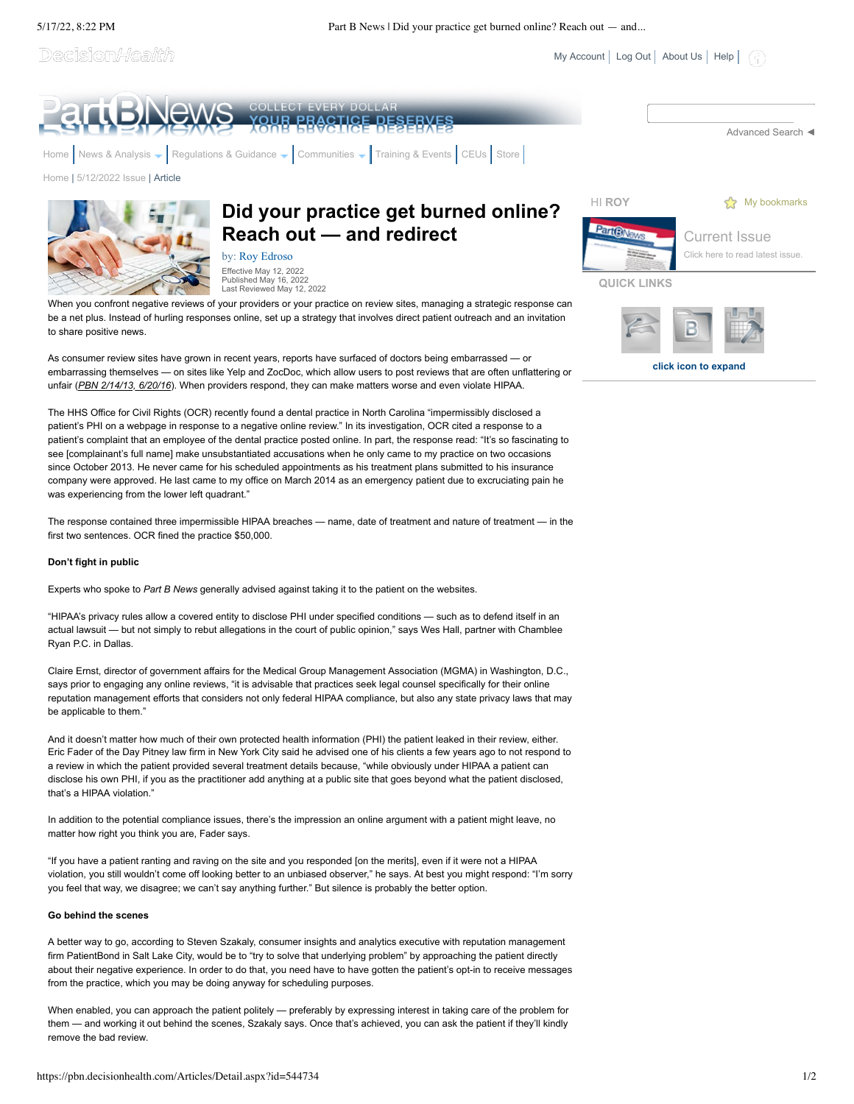Decision/*Health* 

<u>YOUR PRACTICE DESERVES</u> [Advanced Search](javascript:__doPostBack() ◄ [Home](https://pbn.decisionhealth.com/Default.aspx) [News & Analysis](https://pbn.decisionhealth.com/Articles/Default.aspx)  $\bullet$  [Regulations & Guidance](https://pbn.decisionhealth.com/Resources/Default.aspx)  $\bullet$  Communities  $\bullet$  [Training & Events](https://pbn.decisionhealth.com/Events.aspx) [CEUs](https://pbn.decisionhealth.com/CEUs/Default.aspx) [Store](https://www.codingbooks.com/?webSyncID=8129975c-9b24-70b1-7ca9-7c234a12d60a&sessionGUID=3b4dabcd-b55e-da50-7a48-86c2c3422489&spMailingID=20691162&spUserID=NzQzNzIxNTYxMzM1S0&spJobID=2360936731&spReportId=MjM2MDkzNjczMQS2) [Home](https://pbn.decisionhealth.com/Default.aspx) | [5/12/2022 Issue](https://pbn.decisionhealth.com/Articles/List.aspx?newsId=203359) | ArticleHI **ROY S**<sup>2</sup> [My bookmarks](https://pbn.decisionhealth.com/Account/MyBookmarks.aspx) **Did your practice get burned online?** PartBNey **Reach out — and redirect** [Current Issue](https://pbn.decisionhealth.com/Articles/List.aspx?type=63&newsId=203359)

> by: [Roy Edroso](mailto:redroso@decisionhealth.com) Effective May 12, 2022 Published May 16, 2022 Last Reviewed May 12, 2022

When you confront negative reviews of your providers or your practice on review sites, managing a strategic response can be a net plus. Instead of hurling responses online, set up a strategy that involves direct patient outreach and an invitation to share positive news.

As consumer review sites have grown in recent years, reports have surfaced of doctors being embarrassed — or embarrassing themselves — on sites like Yelp and ZocDoc, which allow users to post reviews that are often unflattering or unfair (*PBN 2/14/13, 6/20/16*). When providers respond, they can make matters worse and even violate HIPAA.

The HHS Office for Civil Rights (OCR) recently found a dental practice in North Carolina "impermissibly disclosed a patient's PHI on a webpage in response to a negative online review." In its investigation, OCR cited a response to a patient's complaint that an employee of the dental practice posted online. In part, the response read: "It's so fascinating to see [complainant's full name] make unsubstantiated accusations when he only came to my practice on two occasions since October 2013. He never came for his scheduled appointments as his treatment plans submitted to his insurance company were approved. He last came to my office on March 2014 as an emergency patient due to excruciating pain he was experiencing from the lower left quadrant."

The response contained three impermissible HIPAA breaches — name, date of treatment and nature of treatment — in the first two sentences. OCR fined the practice \$50,000.

### **Don't fight in public**

Experts who spoke to *Part B News* generally advised against taking it to the patient on the websites.

"HIPAA's privacy rules allow a covered entity to disclose PHI under specified conditions — such as to defend itself in an actual lawsuit — but not simply to rebut allegations in the court of public opinion," says Wes Hall, partner with Chamblee Ryan P.C. in Dallas.

Claire Ernst, director of government affairs for the Medical Group Management Association (MGMA) in Washington, D.C., says prior to engaging any online reviews, "it is advisable that practices seek legal counsel specifically for their online reputation management efforts that considers not only federal HIPAA compliance, but also any state privacy laws that may be applicable to them."

And it doesn't matter how much of their own protected health information (PHI) the patient leaked in their review, either. Eric Fader of the Day Pitney law firm in New York City said he advised one of his clients a few years ago to not respond to a review in which the patient provided several treatment details because, "while obviously under HIPAA a patient can disclose his own PHI, if you as the practitioner add anything at a public site that goes beyond what the patient disclosed, that's a HIPAA violation."

In addition to the potential compliance issues, there's the impression an online argument with a patient might leave, no matter how right you think you are, Fader says.

"If you have a patient ranting and raving on the site and you responded [on the merits], even if it were not a HIPAA violation, you still wouldn't come off looking better to an unbiased observer," he says. At best you might respond: "I'm sorry you feel that way, we disagree; we can't say anything further." But silence is probably the better option.

### **Go behind the scenes**

A better way to go, according to Steven Szakaly, consumer insights and analytics executive with reputation management firm PatientBond in Salt Lake City, would be to "try to solve that underlying problem" by approaching the patient directly about their negative experience. In order to do that, you need have to have gotten the patient's opt-in to receive messages from the practice, which you may be doing anyway for scheduling purposes.

When enabled, you can approach the patient politely — preferably by expressing interest in taking care of the problem for them — and working it out behind the scenes, Szakaly says. Once that's achieved, you can ask the patient if they'll kindly remove the bad review.



**QUICK LINKS**

[My Account](https://pbn.decisionhealth.com/Account/MyAccount.aspx) | [Log Out](javascript:__doPostBack() | [About Us](https://pbn.decisionhealth.com/About/Default.aspx) | [Help](https://pbn.decisionhealth.com/About/Help.aspx) |